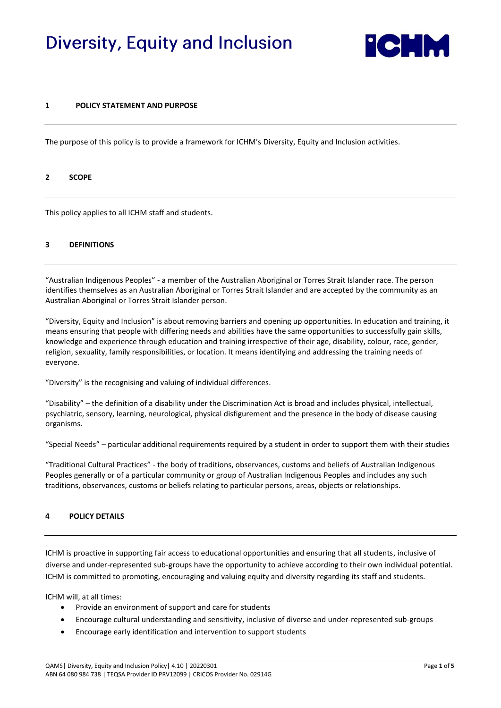# Diversity, Equity and Inclusion



## **1 POLICY STATEMENT AND PURPOSE**

The purpose of this policy is to provide a framework for ICHM's Diversity, Equity and Inclusion activities.

#### **2 SCOPE**

This policy applies to all ICHM staff and students.

#### **3 DEFINITIONS**

"Australian Indigenous Peoples" - a member of the Australian Aboriginal or Torres Strait Islander race. The person identifies themselves as an Australian Aboriginal or Torres Strait Islander and are accepted by the community as an Australian Aboriginal or Torres Strait Islander person.

"Diversity, Equity and Inclusion" is about removing barriers and opening up opportunities. In education and training, it means ensuring that people with differing needs and abilities have the same opportunities to successfully gain skills, knowledge and experience through education and training irrespective of their age, disability, colour, race, gender, religion, sexuality, family responsibilities, or location. It means identifying and addressing the training needs of everyone.

"Diversity" is the recognising and valuing of individual differences.

"Disability" – the definition of a disability under the Discrimination Act is broad and includes physical, intellectual, psychiatric, sensory, learning, neurological, physical disfigurement and the presence in the body of disease causing organisms.

"Special Needs" – particular additional requirements required by a student in order to support them with their studies

"Traditional Cultural Practices" - the body of traditions, observances, customs and beliefs of Australian Indigenous Peoples generally or of a particular community or group of Australian Indigenous Peoples and includes any such traditions, observances, customs or beliefs relating to particular persons, areas, objects or relationships.

#### **4 POLICY DETAILS**

ICHM is proactive in supporting fair access to educational opportunities and ensuring that all students, inclusive of diverse and under-represented sub-groups have the opportunity to achieve according to their own individual potential. ICHM is committed to promoting, encouraging and valuing equity and diversity regarding its staff and students.

ICHM will, at all times:

- Provide an environment of support and care for students
- Encourage cultural understanding and sensitivity, inclusive of diverse and under-represented sub-groups
- Encourage early identification and intervention to support students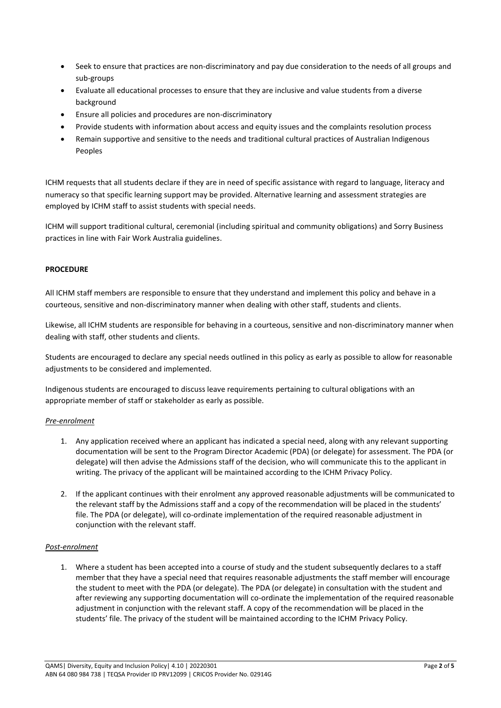- Seek to ensure that practices are non-discriminatory and pay due consideration to the needs of all groups and sub-groups
- Evaluate all educational processes to ensure that they are inclusive and value students from a diverse background
- Ensure all policies and procedures are non-discriminatory
- Provide students with information about access and equity issues and the complaints resolution process
- Remain supportive and sensitive to the needs and traditional cultural practices of Australian Indigenous Peoples

ICHM requests that all students declare if they are in need of specific assistance with regard to language, literacy and numeracy so that specific learning support may be provided. Alternative learning and assessment strategies are employed by ICHM staff to assist students with special needs.

ICHM will support traditional cultural, ceremonial (including spiritual and community obligations) and Sorry Business practices in line with Fair Work Australia guidelines.

## **PROCEDURE**

All ICHM staff members are responsible to ensure that they understand and implement this policy and behave in a courteous, sensitive and non-discriminatory manner when dealing with other staff, students and clients.

Likewise, all ICHM students are responsible for behaving in a courteous, sensitive and non-discriminatory manner when dealing with staff, other students and clients.

Students are encouraged to declare any special needs outlined in this policy as early as possible to allow for reasonable adjustments to be considered and implemented.

Indigenous students are encouraged to discuss leave requirements pertaining to cultural obligations with an appropriate member of staff or stakeholder as early as possible.

#### *Pre-enrolment*

- 1. Any application received where an applicant has indicated a special need, along with any relevant supporting documentation will be sent to the Program Director Academic (PDA) (or delegate) for assessment. The PDA (or delegate) will then advise the Admissions staff of the decision, who will communicate this to the applicant in writing. The privacy of the applicant will be maintained according to the ICHM Privacy Policy.
- 2. If the applicant continues with their enrolment any approved reasonable adjustments will be communicated to the relevant staff by the Admissions staff and a copy of the recommendation will be placed in the students' file. The PDA (or delegate), will co-ordinate implementation of the required reasonable adjustment in conjunction with the relevant staff.

#### *Post-enrolment*

1. Where a student has been accepted into a course of study and the student subsequently declares to a staff member that they have a special need that requires reasonable adjustments the staff member will encourage the student to meet with the PDA (or delegate). The PDA (or delegate) in consultation with the student and after reviewing any supporting documentation will co-ordinate the implementation of the required reasonable adjustment in conjunction with the relevant staff. A copy of the recommendation will be placed in the students' file. The privacy of the student will be maintained according to the ICHM Privacy Policy.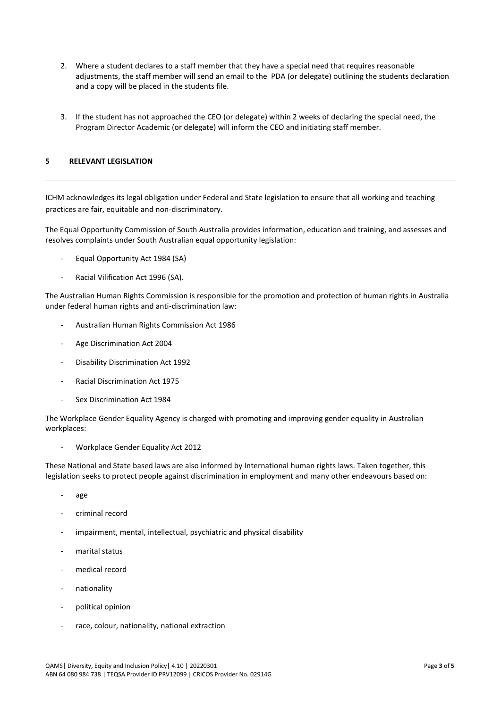- 2. Where a student declares to a staff member that they have a special need that requires reasonable adjustments, the staff member will send an email to the PDA (or delegate) outlining the students declaration and a copy will be placed in the students file.
- 3. If the student has not approached the CEO (or delegate) within 2 weeks of declaring the special need, the Program Director Academic (or delegate) will inform the CEO and initiating staff member.

# **5 RELEVANT LEGISLATION**

ICHM acknowledges its legal obligation under Federal and State legislation to ensure that all working and teaching practices are fair, equitable and non-discriminatory.

The Equal Opportunity Commission of South Australia provides information, education and training, and assesses and resolves complaints under South Australian equal opportunity legislation:

- Equal Opportunity Act 1984 (SA)
- Racial Vilification Act 1996 (SA).

The Australian Human Rights Commission is responsible for the promotion and protection of human rights in Australia under federal human rights and anti-discrimination law:

- Australian Human Rights Commission Act 1986
- Age Discrimination Act 2004
- Disability Discrimination Act 1992
- Racial Discrimination Act 1975
- Sex Discrimination Act 1984

The Workplace Gender Equality Agency is charged with promoting and improving gender equality in Australian workplaces:

- Workplace Gender Equality Act 2012

These National and State based laws are also informed by International human rights laws. Taken together, this legislation seeks to protect people against discrimination in employment and many other endeavours based on:

- age
- criminal record
- impairment, mental, intellectual, psychiatric and physical disability
- marital status
- medical record
- nationality
- political opinion
- race, colour, nationality, national extraction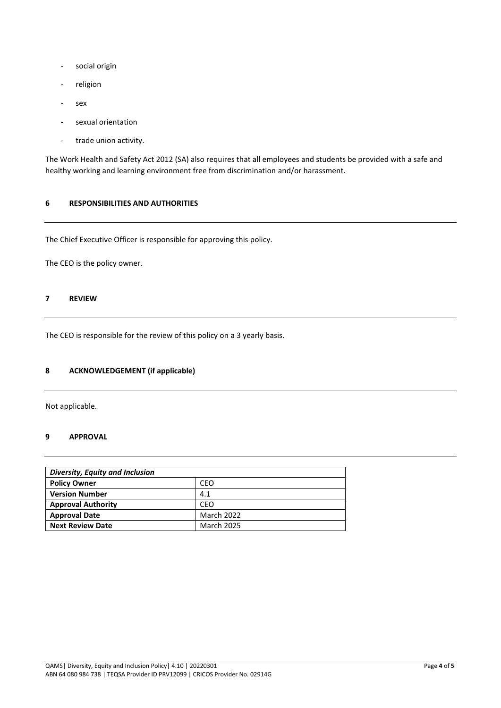- social origin
- religion
- sex
- sexual orientation
- trade union activity.

The Work Health and Safety Act 2012 (SA) also requires that all employees and students be provided with a safe and healthy working and learning environment free from discrimination and/or harassment.

## **6 RESPONSIBILITIES AND AUTHORITIES**

The Chief Executive Officer is responsible for approving this policy.

The CEO is the policy owner.

# **7 REVIEW**

The CEO is responsible for the review of this policy on a 3 yearly basis.

# **8 ACKNOWLEDGEMENT (if applicable)**

Not applicable.

## **9 APPROVAL**

| Diversity, Equity and Inclusion |                   |  |
|---------------------------------|-------------------|--|
| <b>Policy Owner</b>             | CEO               |  |
| <b>Version Number</b>           | 4.1               |  |
| <b>Approval Authority</b>       | CEO               |  |
| <b>Approval Date</b>            | March 2022        |  |
| <b>Next Review Date</b>         | <b>March 2025</b> |  |